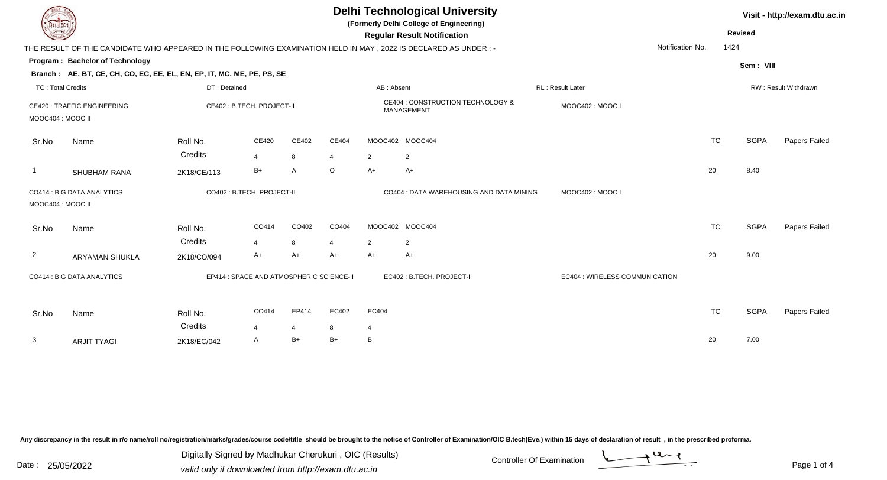| <b>Regular Result Notification</b><br>Notification No.<br>1424<br>THE RESULT OF THE CANDIDATE WHO APPEARED IN THE FOLLOWING EXAMINATION HELD IN MAY, 2022 IS DECLARED AS UNDER:-<br><b>Program: Bachelor of Technology</b><br>Sem: VIII<br>Branch: AE, BT, CE, CH, CO, EC, EE, EL, EN, EP, IT, MC, ME, PE, PS, SE<br><b>TC: Total Credits</b><br>DT: Detained<br>AB: Absent<br><b>RL: Result Later</b><br>RW: Result Withdrawn<br>CE404 : CONSTRUCTION TECHNOLOGY &<br><b>CE420: TRAFFIC ENGINEERING</b><br>CE402 : B.TECH. PROJECT-II<br>MOOC402: MOOC I<br>MANAGEMENT<br>MOOC404 : MOOC II<br><b>SGPA</b><br>CE402<br>CE404<br>MOOC402 MOOC404<br><b>TC</b><br>CE420<br>Papers Failed<br>Roll No.<br>Sr.No<br>Name<br>Credits<br>$\overline{4}$<br>8<br>$\overline{2}$<br>$\overline{2}$<br>4<br>20<br>B+<br>O<br>$A+$<br>8.40<br>A<br>$A+$<br>SHUBHAM RANA<br>2K18/CE/113<br>CO402: B.TECH. PROJECT-II<br>CO414 : BIG DATA ANALYTICS<br>CO404 : DATA WAREHOUSING AND DATA MINING<br>MOOC402: MOOC I<br>MOOC404 : MOOC II<br><b>TC</b><br><b>SGPA</b><br>CO414<br>CO404<br>MOOC402 MOOC404<br>CO402<br>Papers Failed<br>Name<br>Roll No.<br>Sr.No<br>Credits<br>8<br>$\overline{2}$<br>2<br>4<br>$\overline{2}$<br>20<br>$A+$<br>$A+$<br>9.00<br>A+<br>A+<br>$A+$<br><b>ARYAMAN SHUKLA</b><br>2K18/CO/094<br>CO414 : BIG DATA ANALYTICS<br>EP414 : SPACE AND ATMOSPHERIC SCIENCE-II<br>EC402 : B.TECH. PROJECT-II<br>EC404 : WIRELESS COMMUNICATION | <b>DELTECH</b> |  |  |  | <b>Delhi Technological University</b><br>(Formerly Delhi College of Engineering) |  |  |  |  |  | Visit - http://exam.dtu.ac.in<br><b>Revised</b> |  |  |
|-------------------------------------------------------------------------------------------------------------------------------------------------------------------------------------------------------------------------------------------------------------------------------------------------------------------------------------------------------------------------------------------------------------------------------------------------------------------------------------------------------------------------------------------------------------------------------------------------------------------------------------------------------------------------------------------------------------------------------------------------------------------------------------------------------------------------------------------------------------------------------------------------------------------------------------------------------------------------------------------------------------------------------------------------------------------------------------------------------------------------------------------------------------------------------------------------------------------------------------------------------------------------------------------------------------------------------------------------------------------------------------------------------------------------------------------------------|----------------|--|--|--|----------------------------------------------------------------------------------|--|--|--|--|--|-------------------------------------------------|--|--|
|                                                                                                                                                                                                                                                                                                                                                                                                                                                                                                                                                                                                                                                                                                                                                                                                                                                                                                                                                                                                                                                                                                                                                                                                                                                                                                                                                                                                                                                       |                |  |  |  |                                                                                  |  |  |  |  |  |                                                 |  |  |
|                                                                                                                                                                                                                                                                                                                                                                                                                                                                                                                                                                                                                                                                                                                                                                                                                                                                                                                                                                                                                                                                                                                                                                                                                                                                                                                                                                                                                                                       |                |  |  |  |                                                                                  |  |  |  |  |  |                                                 |  |  |
|                                                                                                                                                                                                                                                                                                                                                                                                                                                                                                                                                                                                                                                                                                                                                                                                                                                                                                                                                                                                                                                                                                                                                                                                                                                                                                                                                                                                                                                       |                |  |  |  |                                                                                  |  |  |  |  |  |                                                 |  |  |
|                                                                                                                                                                                                                                                                                                                                                                                                                                                                                                                                                                                                                                                                                                                                                                                                                                                                                                                                                                                                                                                                                                                                                                                                                                                                                                                                                                                                                                                       |                |  |  |  |                                                                                  |  |  |  |  |  |                                                 |  |  |
|                                                                                                                                                                                                                                                                                                                                                                                                                                                                                                                                                                                                                                                                                                                                                                                                                                                                                                                                                                                                                                                                                                                                                                                                                                                                                                                                                                                                                                                       |                |  |  |  |                                                                                  |  |  |  |  |  |                                                 |  |  |
|                                                                                                                                                                                                                                                                                                                                                                                                                                                                                                                                                                                                                                                                                                                                                                                                                                                                                                                                                                                                                                                                                                                                                                                                                                                                                                                                                                                                                                                       |                |  |  |  |                                                                                  |  |  |  |  |  |                                                 |  |  |
|                                                                                                                                                                                                                                                                                                                                                                                                                                                                                                                                                                                                                                                                                                                                                                                                                                                                                                                                                                                                                                                                                                                                                                                                                                                                                                                                                                                                                                                       |                |  |  |  |                                                                                  |  |  |  |  |  |                                                 |  |  |
|                                                                                                                                                                                                                                                                                                                                                                                                                                                                                                                                                                                                                                                                                                                                                                                                                                                                                                                                                                                                                                                                                                                                                                                                                                                                                                                                                                                                                                                       |                |  |  |  |                                                                                  |  |  |  |  |  |                                                 |  |  |
|                                                                                                                                                                                                                                                                                                                                                                                                                                                                                                                                                                                                                                                                                                                                                                                                                                                                                                                                                                                                                                                                                                                                                                                                                                                                                                                                                                                                                                                       |                |  |  |  |                                                                                  |  |  |  |  |  |                                                 |  |  |
|                                                                                                                                                                                                                                                                                                                                                                                                                                                                                                                                                                                                                                                                                                                                                                                                                                                                                                                                                                                                                                                                                                                                                                                                                                                                                                                                                                                                                                                       |                |  |  |  |                                                                                  |  |  |  |  |  |                                                 |  |  |
|                                                                                                                                                                                                                                                                                                                                                                                                                                                                                                                                                                                                                                                                                                                                                                                                                                                                                                                                                                                                                                                                                                                                                                                                                                                                                                                                                                                                                                                       |                |  |  |  |                                                                                  |  |  |  |  |  |                                                 |  |  |
|                                                                                                                                                                                                                                                                                                                                                                                                                                                                                                                                                                                                                                                                                                                                                                                                                                                                                                                                                                                                                                                                                                                                                                                                                                                                                                                                                                                                                                                       |                |  |  |  |                                                                                  |  |  |  |  |  |                                                 |  |  |
|                                                                                                                                                                                                                                                                                                                                                                                                                                                                                                                                                                                                                                                                                                                                                                                                                                                                                                                                                                                                                                                                                                                                                                                                                                                                                                                                                                                                                                                       |                |  |  |  |                                                                                  |  |  |  |  |  |                                                 |  |  |
|                                                                                                                                                                                                                                                                                                                                                                                                                                                                                                                                                                                                                                                                                                                                                                                                                                                                                                                                                                                                                                                                                                                                                                                                                                                                                                                                                                                                                                                       |                |  |  |  |                                                                                  |  |  |  |  |  |                                                 |  |  |
| <b>TC</b><br><b>SGPA</b><br>CO414<br>EP414<br>EC402<br>EC404<br>Papers Failed<br>Sr.No<br>Name<br>Roll No.                                                                                                                                                                                                                                                                                                                                                                                                                                                                                                                                                                                                                                                                                                                                                                                                                                                                                                                                                                                                                                                                                                                                                                                                                                                                                                                                            |                |  |  |  |                                                                                  |  |  |  |  |  |                                                 |  |  |
| Credits<br>8<br>4<br>$\overline{4}$<br>$\overline{4}$                                                                                                                                                                                                                                                                                                                                                                                                                                                                                                                                                                                                                                                                                                                                                                                                                                                                                                                                                                                                                                                                                                                                                                                                                                                                                                                                                                                                 |                |  |  |  |                                                                                  |  |  |  |  |  |                                                 |  |  |
| 3<br>$B+$<br>$B+$<br>20<br>7.00<br>B<br>A<br><b>ARJIT TYAGI</b><br>2K18/EC/042                                                                                                                                                                                                                                                                                                                                                                                                                                                                                                                                                                                                                                                                                                                                                                                                                                                                                                                                                                                                                                                                                                                                                                                                                                                                                                                                                                        |                |  |  |  |                                                                                  |  |  |  |  |  |                                                 |  |  |

Digitally Signed by Madhukar Cherukuri, OIC (Results)<br>Date : 25/05/2022 valid only if downloaded from http://oxam.dtu.ac.in Digitally Signed by Madhukar Cherukuri , OIC (Results)valid only if downloaded from http://exam.dtu.ac.in

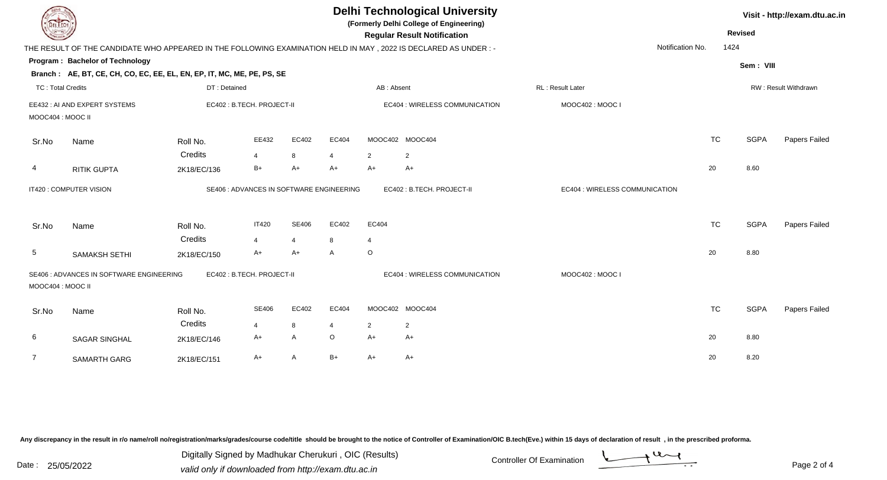| <b>Delhi Technological University</b><br>(Formerly Delhi College of Engineering)<br>DEL TECH<br><b>Regular Result Notification</b>               |           | Visit - http://exam.dtu.ac.in<br><b>Revised</b> |                      |  |
|--------------------------------------------------------------------------------------------------------------------------------------------------|-----------|-------------------------------------------------|----------------------|--|
| Notification No.<br>THE RESULT OF THE CANDIDATE WHO APPEARED IN THE FOLLOWING EXAMINATION HELD IN MAY, 2022 IS DECLARED AS UNDER:-               | 1424      |                                                 |                      |  |
| <b>Program: Bachelor of Technology</b>                                                                                                           |           | Sem: VIII                                       |                      |  |
| Branch: AE, BT, CE, CH, CO, EC, EE, EL, EN, EP, IT, MC, ME, PE, PS, SE                                                                           |           |                                                 |                      |  |
| <b>TC: Total Credits</b><br>AB: Absent<br>RL : Result Later<br>DT: Detained                                                                      |           |                                                 | RW: Result Withdrawn |  |
| EE432 : AI AND EXPERT SYSTEMS<br>EC402 : B.TECH. PROJECT-II<br>EC404 : WIRELESS COMMUNICATION<br>MOOC402: MOOC I                                 |           |                                                 |                      |  |
| MOOC404 : MOOC II                                                                                                                                |           |                                                 |                      |  |
| EE432<br>EC402<br>EC404<br>MOOC402 MOOC404<br>Name<br>Roll No.<br>Sr.No                                                                          | <b>TC</b> | <b>SGPA</b>                                     | Papers Failed        |  |
| Credits<br>8<br>$\overline{2}$<br>4<br>2<br>4                                                                                                    |           |                                                 |                      |  |
| $B+$<br>$A+$<br>$A+$<br>$A+$<br>$A+$<br>4<br><b>RITIK GUPTA</b><br>2K18/EC/136                                                                   | 20        | 8.60                                            |                      |  |
| IT420 : COMPUTER VISION<br>SE406 : ADVANCES IN SOFTWARE ENGINEERING<br>EC402: B.TECH. PROJECT-II<br>EC404 : WIRELESS COMMUNICATION               |           |                                                 |                      |  |
| <b>IT420</b><br><b>SE406</b><br>EC402<br>EC404<br>Roll No.<br>Sr.No<br>Name                                                                      | <b>TC</b> | <b>SGPA</b>                                     | Papers Failed        |  |
| Credits<br>$\overline{4}$<br>$\overline{4}$<br>8<br>$\overline{4}$                                                                               |           |                                                 |                      |  |
| $\circ$<br>5<br>A+<br>A+<br>$\overline{A}$<br><b>SAMAKSH SETHI</b><br>2K18/EC/150                                                                | 20        | 8.80                                            |                      |  |
| SE406 : ADVANCES IN SOFTWARE ENGINEERING<br>EC402 : B.TECH. PROJECT-II<br>EC404 : WIRELESS COMMUNICATION<br>MOOC402: MOOC I<br>MOOC404 : MOOC II |           |                                                 |                      |  |
| EC404<br><b>SE406</b><br>EC402<br>MOOC402 MOOC404<br>Sr.No<br>Roll No.<br>Name                                                                   | <b>TC</b> | <b>SGPA</b>                                     | Papers Failed        |  |
| Credits<br>8<br>$\overline{2}$<br>$\overline{2}$<br>$\overline{4}$<br>4                                                                          |           |                                                 |                      |  |
| $\circ$<br>A<br>6<br>A+<br>$A+$<br>$A+$<br><b>SAGAR SINGHAL</b><br>2K18/EC/146                                                                   | 20        | 8.80                                            |                      |  |
| $\overline{7}$<br>$B+$<br>A<br>A+<br>$A+$<br>$A+$<br>SAMARTH GARG<br>2K18/EC/151                                                                 | 20        | 8.20                                            |                      |  |

Digitally Signed by Madhukar Cherukuri, OIC (Results)<br>Date : 25/05/2022 valid only if downloaded from http://oxam.dtu.ac.in Digitally Signed by Madhukar Cherukuri , OIC (Results)valid only if downloaded from http://exam.dtu.ac.in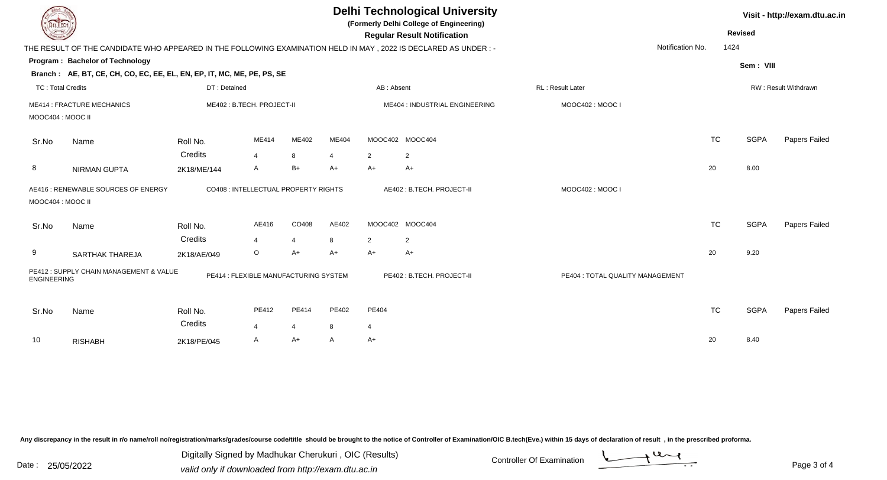| DEL TECH                                                 |                                                                                                                |                                       |                |                |                                | <b>Delhi Technological University</b><br>(Formerly Delhi College of Engineering)<br><b>Regular Result Notification</b> |                           |                                  | Visit - http://exam.dtu.ac.in<br><b>Revised</b> |             |               |  |
|----------------------------------------------------------|----------------------------------------------------------------------------------------------------------------|---------------------------------------|----------------|----------------|--------------------------------|------------------------------------------------------------------------------------------------------------------------|---------------------------|----------------------------------|-------------------------------------------------|-------------|---------------|--|
|                                                          | THE RESULT OF THE CANDIDATE WHO APPEARED IN THE FOLLOWING EXAMINATION HELD IN MAY, 2022 IS DECLARED AS UNDER:- |                                       |                |                |                                |                                                                                                                        |                           |                                  | Notification No.                                | 1424        |               |  |
|                                                          | Program: Bachelor of Technology                                                                                |                                       |                |                |                                |                                                                                                                        |                           |                                  |                                                 |             |               |  |
|                                                          | Branch: AE, BT, CE, CH, CO, EC, EE, EL, EN, EP, IT, MC, ME, PE, PS, SE                                         |                                       |                |                |                                |                                                                                                                        |                           |                                  |                                                 | Sem: VIII   |               |  |
| <b>TC: Total Credits</b>                                 |                                                                                                                | DT: Detained                          |                |                | AB: Absent                     |                                                                                                                        |                           | <b>RL: Result Later</b>          | RW: Result Withdrawn                            |             |               |  |
| <b>ME414 : FRACTURE MECHANICS</b><br>MOOC404 : MOOC II   |                                                                                                                | ME402: B.TECH. PROJECT-II             |                |                | ME404 : INDUSTRIAL ENGINEERING |                                                                                                                        | MOOC402: MOOC I           |                                  |                                                 |             |               |  |
| Sr.No                                                    | Name                                                                                                           | Roll No.                              | ME414          | ME402          | ME404                          |                                                                                                                        | MOOC402 MOOC404           |                                  | <b>TC</b>                                       | <b>SGPA</b> | Papers Failed |  |
|                                                          |                                                                                                                | Credits                               | $\overline{4}$ | 8              | 4                              | $\overline{2}$                                                                                                         | $\overline{2}$            |                                  |                                                 |             |               |  |
| 8                                                        | <b>NIRMAN GUPTA</b>                                                                                            | 2K18/ME/144                           | A              | $B+$           | A+                             | $A+$                                                                                                                   | $A+$                      |                                  | 20                                              | 8.00        |               |  |
| AE416 : RENEWABLE SOURCES OF ENERGY<br>MOOC404 : MOOC II |                                                                                                                | CO408 : INTELLECTUAL PROPERTY RIGHTS  |                |                |                                |                                                                                                                        | AE402: B.TECH. PROJECT-II | MOOC402: MOOC I                  |                                                 |             |               |  |
| Sr.No                                                    | Name                                                                                                           | Roll No.                              | AE416          | CO408          | AE402                          |                                                                                                                        | MOOC402 MOOC404           |                                  | <b>TC</b>                                       | <b>SGPA</b> | Papers Failed |  |
|                                                          |                                                                                                                | Credits                               | $\overline{4}$ | $\overline{4}$ | 8                              | 2                                                                                                                      | 2                         |                                  |                                                 |             |               |  |
| 9                                                        | <b>SARTHAK THAREJA</b>                                                                                         | 2K18/AE/049                           | $\circ$        | $A+$           | $A+$                           | $A+$                                                                                                                   | $A+$                      |                                  | 20                                              | 9.20        |               |  |
| <b>ENGINEERING</b>                                       | PE412: SUPPLY CHAIN MANAGEMENT & VALUE                                                                         | PE414 : FLEXIBLE MANUFACTURING SYSTEM |                |                |                                |                                                                                                                        | PE402: B.TECH. PROJECT-II | PE404 : TOTAL QUALITY MANAGEMENT |                                                 |             |               |  |
| Sr.No                                                    | Name                                                                                                           | Roll No.<br>Credits                   | PE412          | PE414          | PE402                          | PE404                                                                                                                  |                           |                                  | <b>TC</b>                                       | <b>SGPA</b> | Papers Failed |  |
|                                                          |                                                                                                                |                                       | $\overline{a}$ | $\overline{4}$ | 8                              | 4                                                                                                                      |                           |                                  |                                                 |             |               |  |
| 10                                                       | <b>RISHABH</b>                                                                                                 | 2K18/PE/045                           | A              | $A+$           | A                              | $A+$                                                                                                                   |                           |                                  | 20                                              | 8.40        |               |  |

Digitally Signed by Madhukar Cherukuri, OIC (Results)<br>Date : 25/05/2022 valid only if downloaded from http://oxam.dtu.ac.in Digitally Signed by Madhukar Cherukuri , OIC (Results)valid only if downloaded from http://exam.dtu.ac.in